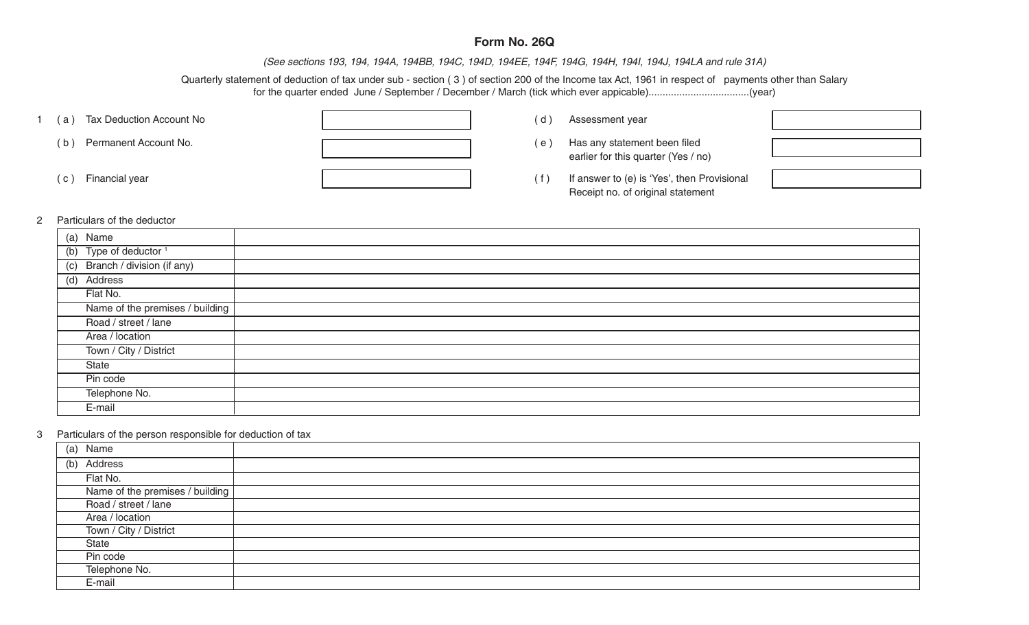## **Form No. 26Q**

*(See sections 193, 194, 194A, 194BB, 194C, 194D, 194EE, 194F, 194G, 194H, 194I, 194J, 194LA and rule 31A)*

Quarterly statement of deduction of tax under sub - section ( 3 ) of section 200 of the Income tax Act, 1961 in respect of payments other than Salary for the quarter ended June / September / December / March (tick which ever appicable)....................................(year)

| Tax Deduction Account No<br>а) | (d)   | Assessment year                                                                  |  |
|--------------------------------|-------|----------------------------------------------------------------------------------|--|
| Permanent Account No.<br>b     | e     | Has any statement been filed<br>earlier for this quarter (Yes / no)              |  |
| Financial year<br>$\mathbf{C}$ | ( f ) | If answer to (e) is 'Yes', then Provisional<br>Receipt no. of original statement |  |

## 2 Particulars of the deductor

| (a) Name                        |  |
|---------------------------------|--|
| (b) Type of deductor $1$        |  |
| (c) Branch / division (if any)  |  |
| (d) Address                     |  |
| Flat No.                        |  |
| Name of the premises / building |  |
| Road / street / lane            |  |
| Area / location                 |  |
| Town / City / District          |  |
| State                           |  |
| Pin code                        |  |
| Telephone No.                   |  |
| E-mail                          |  |

## 3 Particulars of the person responsible for deduction of tax

| (a)<br>Name                     |  |
|---------------------------------|--|
| (b) Address                     |  |
| Flat No.                        |  |
| Name of the premises / building |  |
| Road / street / lane            |  |
| Area / location                 |  |
| Town / City / District          |  |
| State                           |  |
| Pin code                        |  |
| Telephone No.                   |  |
| E-mail                          |  |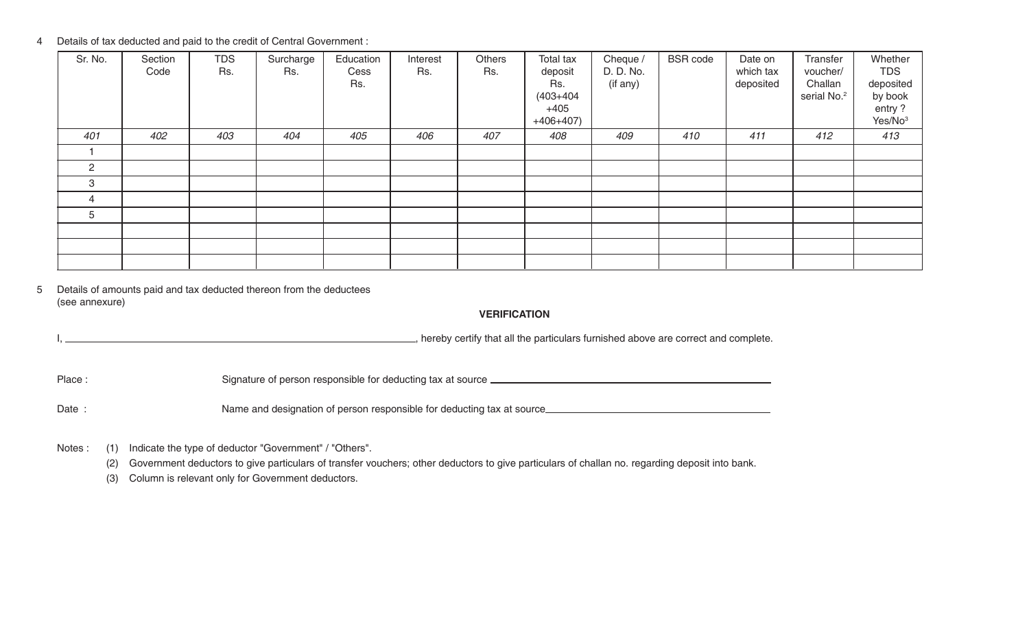4 Details of tax deducted and paid to the credit of Central Government :

| Sr. No. | Section<br>Code | <b>TDS</b><br>Rs. | Surcharge<br>Rs. | Education<br>Cess<br>Rs. | Interest<br>Rs. | Others<br>Rs. | Total tax<br>deposit<br>Rs.<br>$(403 + 404)$<br>$+405$<br>$+406+407$ | Cheque /<br>D. D. No.<br>(if any) | <b>BSR</b> code | Date on<br>which tax<br>deposited | Transfer<br>voucher/<br>Challan<br>serial No. <sup>2</sup> | Whether<br><b>TDS</b><br>deposited<br>by book<br>entry?<br>Yes/No <sup>3</sup> |
|---------|-----------------|-------------------|------------------|--------------------------|-----------------|---------------|----------------------------------------------------------------------|-----------------------------------|-----------------|-----------------------------------|------------------------------------------------------------|--------------------------------------------------------------------------------|
| 401     | 402             | 403               | 404              | 405                      | 406             | 407           | 408                                                                  | 409                               | 410             | 411                               | 412                                                        | 413                                                                            |
|         |                 |                   |                  |                          |                 |               |                                                                      |                                   |                 |                                   |                                                            |                                                                                |
| 2       |                 |                   |                  |                          |                 |               |                                                                      |                                   |                 |                                   |                                                            |                                                                                |
| 3       |                 |                   |                  |                          |                 |               |                                                                      |                                   |                 |                                   |                                                            |                                                                                |
| 4       |                 |                   |                  |                          |                 |               |                                                                      |                                   |                 |                                   |                                                            |                                                                                |
| 5       |                 |                   |                  |                          |                 |               |                                                                      |                                   |                 |                                   |                                                            |                                                                                |
|         |                 |                   |                  |                          |                 |               |                                                                      |                                   |                 |                                   |                                                            |                                                                                |
|         |                 |                   |                  |                          |                 |               |                                                                      |                                   |                 |                                   |                                                            |                                                                                |
|         |                 |                   |                  |                          |                 |               |                                                                      |                                   |                 |                                   |                                                            |                                                                                |

5 Details of amounts paid and tax deducted thereon from the deductees (see annexure)

**VERIFICATION**

I, hereby certify that all the particulars furnished above are correct and complete.

Place : Signature of person responsible for deducting tax at source

Date : Name and designation of person responsible for deducting tax at source\_\_\_\_\_\_\_\_\_\_\_\_\_\_\_\_\_\_\_\_\_\_\_\_\_\_\_\_\_\_\_\_\_

Notes : (1) Indicate the type of deductor "Government" / "Others".

(2) Government deductors to give particulars of transfer vouchers; other deductors to give particulars of challan no. regarding deposit into bank.

(3) Column is relevant only for Government deductors.